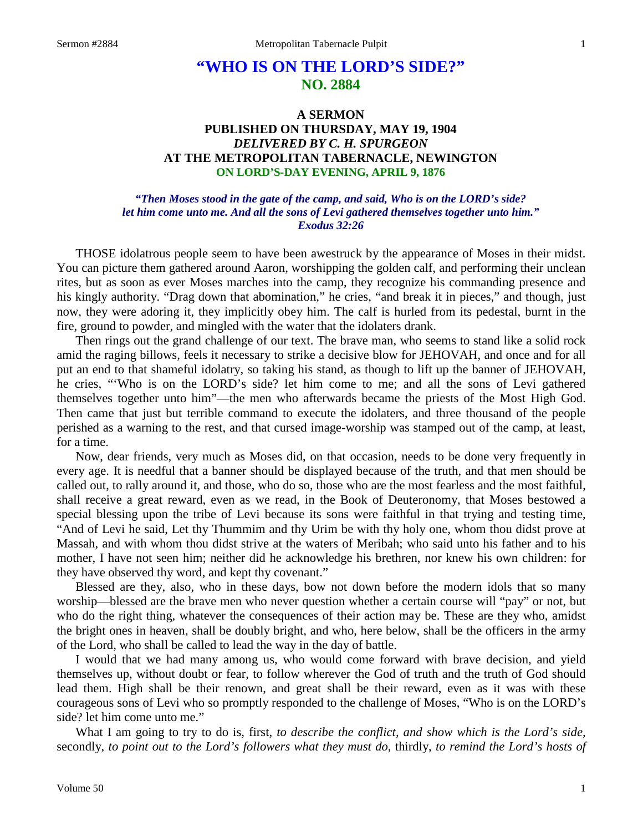# **"WHO IS ON THE LORD'S SIDE?" NO. 2884**

## **A SERMON PUBLISHED ON THURSDAY, MAY 19, 1904** *DELIVERED BY C. H. SPURGEON* **AT THE METROPOLITAN TABERNACLE, NEWINGTON ON LORD'S-DAY EVENING, APRIL 9, 1876**

#### *"Then Moses stood in the gate of the camp, and said, Who is on the LORD's side? let him come unto me. And all the sons of Levi gathered themselves together unto him." Exodus 32:26*

THOSE idolatrous people seem to have been awestruck by the appearance of Moses in their midst. You can picture them gathered around Aaron, worshipping the golden calf, and performing their unclean rites, but as soon as ever Moses marches into the camp, they recognize his commanding presence and his kingly authority. "Drag down that abomination," he cries, "and break it in pieces," and though, just now, they were adoring it, they implicitly obey him. The calf is hurled from its pedestal, burnt in the fire, ground to powder, and mingled with the water that the idolaters drank.

Then rings out the grand challenge of our text. The brave man, who seems to stand like a solid rock amid the raging billows, feels it necessary to strike a decisive blow for JEHOVAH, and once and for all put an end to that shameful idolatry, so taking his stand, as though to lift up the banner of JEHOVAH, he cries, "'Who is on the LORD's side? let him come to me; and all the sons of Levi gathered themselves together unto him"—the men who afterwards became the priests of the Most High God. Then came that just but terrible command to execute the idolaters, and three thousand of the people perished as a warning to the rest, and that cursed image-worship was stamped out of the camp, at least, for a time.

Now, dear friends, very much as Moses did, on that occasion, needs to be done very frequently in every age. It is needful that a banner should be displayed because of the truth, and that men should be called out, to rally around it, and those, who do so, those who are the most fearless and the most faithful, shall receive a great reward, even as we read, in the Book of Deuteronomy, that Moses bestowed a special blessing upon the tribe of Levi because its sons were faithful in that trying and testing time, "And of Levi he said, Let thy Thummim and thy Urim be with thy holy one, whom thou didst prove at Massah, and with whom thou didst strive at the waters of Meribah; who said unto his father and to his mother, I have not seen him; neither did he acknowledge his brethren, nor knew his own children: for they have observed thy word, and kept thy covenant."

Blessed are they, also, who in these days, bow not down before the modern idols that so many worship—blessed are the brave men who never question whether a certain course will "pay" or not, but who do the right thing, whatever the consequences of their action may be. These are they who, amidst the bright ones in heaven, shall be doubly bright, and who, here below, shall be the officers in the army of the Lord, who shall be called to lead the way in the day of battle.

I would that we had many among us, who would come forward with brave decision, and yield themselves up, without doubt or fear, to follow wherever the God of truth and the truth of God should lead them. High shall be their renown, and great shall be their reward, even as it was with these courageous sons of Levi who so promptly responded to the challenge of Moses, "Who is on the LORD's side? let him come unto me."

What I am going to try to do is, first, *to describe the conflict, and show which is the Lord's side,* secondly, *to point out to the Lord's followers what they must do,* thirdly, *to remind the Lord's hosts of*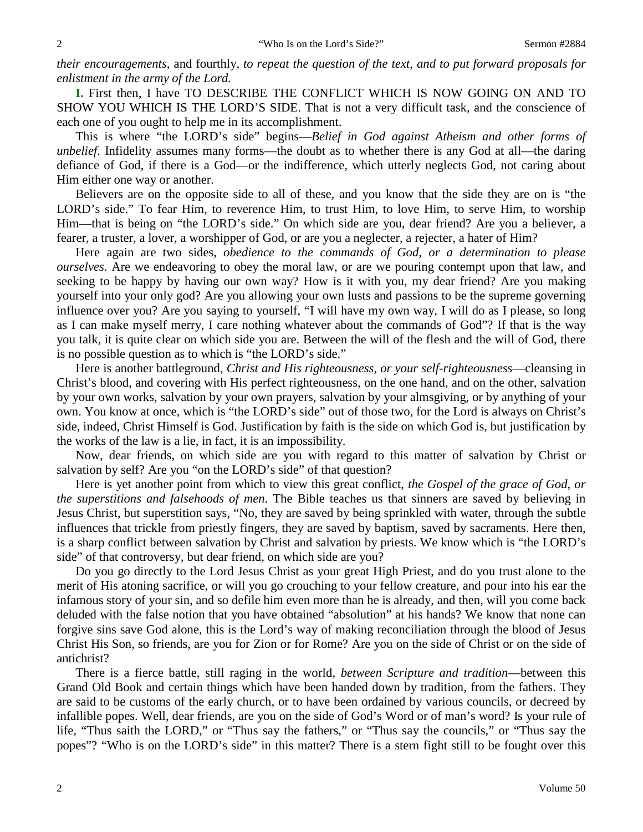*their encouragements,* and fourthly, *to repeat the question of the text, and to put forward proposals for enlistment in the army of the Lord.* 

**I.** First then, I have TO DESCRIBE THE CONFLICT WHICH IS NOW GOING ON AND TO SHOW YOU WHICH IS THE LORD'S SIDE. That is not a very difficult task, and the conscience of each one of you ought to help me in its accomplishment.

This is where "the LORD's side" begins—*Belief in God against Atheism and other forms of unbelief*. Infidelity assumes many forms—the doubt as to whether there is any God at all—the daring defiance of God, if there is a God—or the indifference, which utterly neglects God, not caring about Him either one way or another.

Believers are on the opposite side to all of these, and you know that the side they are on is "the LORD's side." To fear Him, to reverence Him, to trust Him, to love Him, to serve Him, to worship Him—that is being on "the LORD's side." On which side are you, dear friend? Are you a believer, a fearer, a truster, a lover, a worshipper of God, or are you a neglecter, a rejecter, a hater of Him?

Here again are two sides, *obedience to the commands of God, or a determination to please ourselves*. Are we endeavoring to obey the moral law, or are we pouring contempt upon that law, and seeking to be happy by having our own way? How is it with you, my dear friend? Are you making yourself into your only god? Are you allowing your own lusts and passions to be the supreme governing influence over you? Are you saying to yourself, "I will have my own way, I will do as I please, so long as I can make myself merry, I care nothing whatever about the commands of God"? If that is the way you talk, it is quite clear on which side you are. Between the will of the flesh and the will of God, there is no possible question as to which is "the LORD's side."

Here is another battleground, *Christ and His righteousness, or your self-righteousness*—cleansing in Christ's blood, and covering with His perfect righteousness, on the one hand, and on the other, salvation by your own works, salvation by your own prayers, salvation by your almsgiving, or by anything of your own. You know at once, which is "the LORD's side" out of those two, for the Lord is always on Christ's side, indeed, Christ Himself is God. Justification by faith is the side on which God is, but justification by the works of the law is a lie, in fact, it is an impossibility.

Now, dear friends, on which side are you with regard to this matter of salvation by Christ or salvation by self? Are you "on the LORD's side" of that question?

Here is yet another point from which to view this great conflict, *the Gospel of the grace of God, or the superstitions and falsehoods of men*. The Bible teaches us that sinners are saved by believing in Jesus Christ, but superstition says, "No, they are saved by being sprinkled with water, through the subtle influences that trickle from priestly fingers, they are saved by baptism, saved by sacraments. Here then, is a sharp conflict between salvation by Christ and salvation by priests. We know which is "the LORD's side" of that controversy, but dear friend, on which side are you?

Do you go directly to the Lord Jesus Christ as your great High Priest, and do you trust alone to the merit of His atoning sacrifice, or will you go crouching to your fellow creature, and pour into his ear the infamous story of your sin, and so defile him even more than he is already, and then, will you come back deluded with the false notion that you have obtained "absolution" at his hands? We know that none can forgive sins save God alone, this is the Lord's way of making reconciliation through the blood of Jesus Christ His Son, so friends, are you for Zion or for Rome? Are you on the side of Christ or on the side of antichrist?

There is a fierce battle, still raging in the world, *between Scripture and tradition*—between this Grand Old Book and certain things which have been handed down by tradition, from the fathers. They are said to be customs of the early church, or to have been ordained by various councils, or decreed by infallible popes. Well, dear friends, are you on the side of God's Word or of man's word? Is your rule of life, "Thus saith the LORD," or "Thus say the fathers," or "Thus say the councils," or "Thus say the popes"? "Who is on the LORD's side" in this matter? There is a stern fight still to be fought over this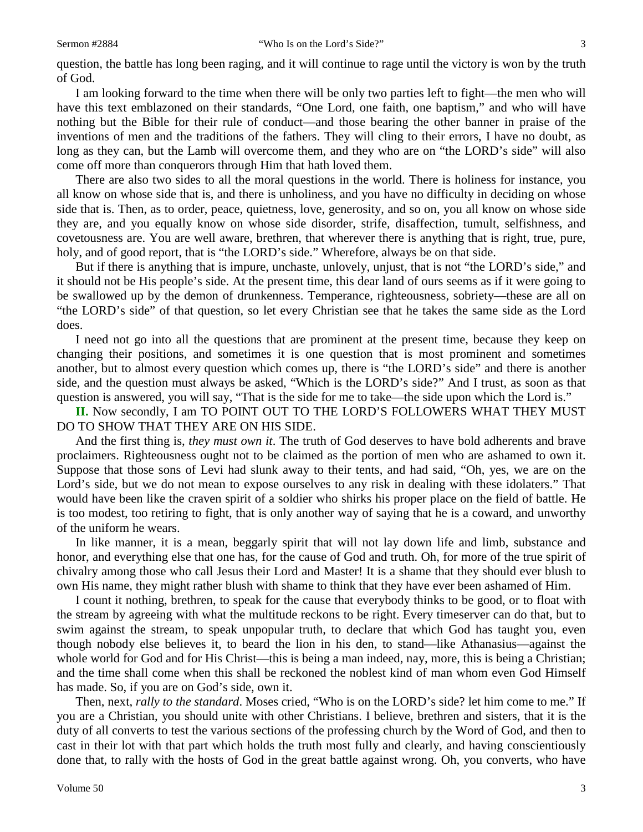question, the battle has long been raging, and it will continue to rage until the victory is won by the truth of God.

I am looking forward to the time when there will be only two parties left to fight—the men who will have this text emblazoned on their standards, "One Lord, one faith, one baptism," and who will have nothing but the Bible for their rule of conduct—and those bearing the other banner in praise of the inventions of men and the traditions of the fathers. They will cling to their errors, I have no doubt, as long as they can, but the Lamb will overcome them, and they who are on "the LORD's side" will also come off more than conquerors through Him that hath loved them.

There are also two sides to all the moral questions in the world. There is holiness for instance, you all know on whose side that is, and there is unholiness, and you have no difficulty in deciding on whose side that is. Then, as to order, peace, quietness, love, generosity, and so on, you all know on whose side they are, and you equally know on whose side disorder, strife, disaffection, tumult, selfishness, and covetousness are. You are well aware, brethren, that wherever there is anything that is right, true, pure, holy, and of good report, that is "the LORD's side." Wherefore, always be on that side.

But if there is anything that is impure, unchaste, unlovely, unjust, that is not "the LORD's side," and it should not be His people's side. At the present time, this dear land of ours seems as if it were going to be swallowed up by the demon of drunkenness. Temperance, righteousness, sobriety—these are all on "the LORD's side" of that question, so let every Christian see that he takes the same side as the Lord does.

I need not go into all the questions that are prominent at the present time, because they keep on changing their positions, and sometimes it is one question that is most prominent and sometimes another, but to almost every question which comes up, there is "the LORD's side" and there is another side, and the question must always be asked, "Which is the LORD's side?" And I trust, as soon as that question is answered, you will say, "That is the side for me to take—the side upon which the Lord is."

**II.** Now secondly, I am TO POINT OUT TO THE LORD'S FOLLOWERS WHAT THEY MUST DO TO SHOW THAT THEY ARE ON HIS SIDE.

And the first thing is, *they must own it*. The truth of God deserves to have bold adherents and brave proclaimers. Righteousness ought not to be claimed as the portion of men who are ashamed to own it. Suppose that those sons of Levi had slunk away to their tents, and had said, "Oh, yes, we are on the Lord's side, but we do not mean to expose ourselves to any risk in dealing with these idolaters." That would have been like the craven spirit of a soldier who shirks his proper place on the field of battle. He is too modest, too retiring to fight, that is only another way of saying that he is a coward, and unworthy of the uniform he wears.

In like manner, it is a mean, beggarly spirit that will not lay down life and limb, substance and honor, and everything else that one has, for the cause of God and truth. Oh, for more of the true spirit of chivalry among those who call Jesus their Lord and Master! It is a shame that they should ever blush to own His name, they might rather blush with shame to think that they have ever been ashamed of Him.

I count it nothing, brethren, to speak for the cause that everybody thinks to be good, or to float with the stream by agreeing with what the multitude reckons to be right. Every timeserver can do that, but to swim against the stream, to speak unpopular truth, to declare that which God has taught you, even though nobody else believes it, to beard the lion in his den, to stand—like Athanasius—against the whole world for God and for His Christ—this is being a man indeed, nay, more, this is being a Christian; and the time shall come when this shall be reckoned the noblest kind of man whom even God Himself has made. So, if you are on God's side, own it.

Then, next, *rally to the standard*. Moses cried, "Who is on the LORD's side? let him come to me." If you are a Christian, you should unite with other Christians. I believe, brethren and sisters, that it is the duty of all converts to test the various sections of the professing church by the Word of God, and then to cast in their lot with that part which holds the truth most fully and clearly, and having conscientiously done that, to rally with the hosts of God in the great battle against wrong. Oh, you converts, who have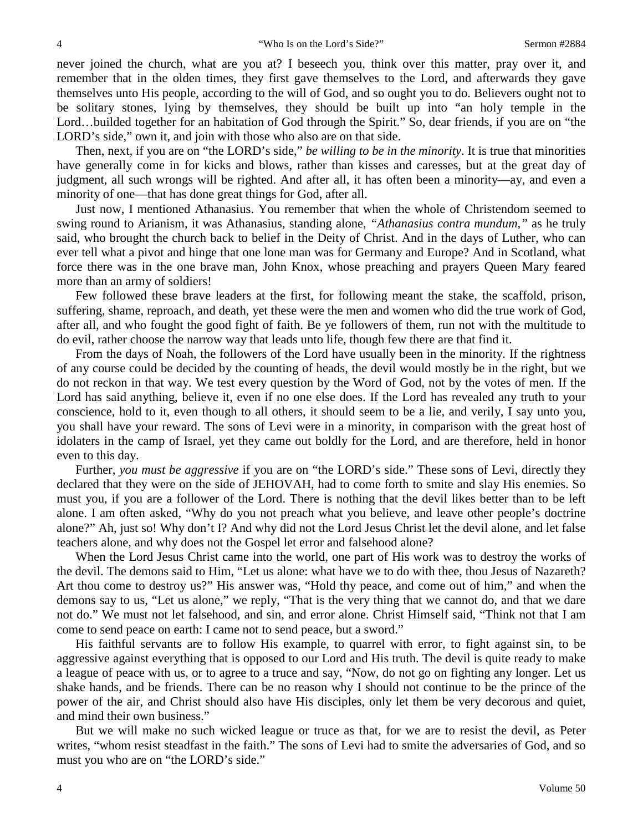never joined the church, what are you at? I beseech you, think over this matter, pray over it, and remember that in the olden times, they first gave themselves to the Lord, and afterwards they gave themselves unto His people, according to the will of God, and so ought you to do. Believers ought not to be solitary stones, lying by themselves, they should be built up into "an holy temple in the Lord...builded together for an habitation of God through the Spirit." So, dear friends, if you are on "the LORD's side," own it, and join with those who also are on that side.

Then, next, if you are on "the LORD's side," *be willing to be in the minority*. It is true that minorities have generally come in for kicks and blows, rather than kisses and caresses, but at the great day of judgment, all such wrongs will be righted. And after all, it has often been a minority—ay, and even a minority of one—that has done great things for God, after all.

Just now, I mentioned Athanasius. You remember that when the whole of Christendom seemed to swing round to Arianism, it was Athanasius, standing alone, *"Athanasius contra mundum,"* as he truly said, who brought the church back to belief in the Deity of Christ. And in the days of Luther, who can ever tell what a pivot and hinge that one lone man was for Germany and Europe? And in Scotland, what force there was in the one brave man, John Knox, whose preaching and prayers Queen Mary feared more than an army of soldiers!

Few followed these brave leaders at the first, for following meant the stake, the scaffold, prison, suffering, shame, reproach, and death, yet these were the men and women who did the true work of God, after all, and who fought the good fight of faith. Be ye followers of them, run not with the multitude to do evil, rather choose the narrow way that leads unto life, though few there are that find it.

From the days of Noah, the followers of the Lord have usually been in the minority. If the rightness of any course could be decided by the counting of heads, the devil would mostly be in the right, but we do not reckon in that way. We test every question by the Word of God, not by the votes of men. If the Lord has said anything, believe it, even if no one else does. If the Lord has revealed any truth to your conscience, hold to it, even though to all others, it should seem to be a lie, and verily, I say unto you, you shall have your reward. The sons of Levi were in a minority, in comparison with the great host of idolaters in the camp of Israel, yet they came out boldly for the Lord, and are therefore, held in honor even to this day.

Further, *you must be aggressive* if you are on "the LORD's side." These sons of Levi, directly they declared that they were on the side of JEHOVAH, had to come forth to smite and slay His enemies. So must you, if you are a follower of the Lord. There is nothing that the devil likes better than to be left alone. I am often asked, "Why do you not preach what you believe, and leave other people's doctrine alone?" Ah, just so! Why don't I? And why did not the Lord Jesus Christ let the devil alone, and let false teachers alone, and why does not the Gospel let error and falsehood alone?

When the Lord Jesus Christ came into the world, one part of His work was to destroy the works of the devil. The demons said to Him, "Let us alone: what have we to do with thee, thou Jesus of Nazareth? Art thou come to destroy us?" His answer was, "Hold thy peace, and come out of him," and when the demons say to us, "Let us alone," we reply, "That is the very thing that we cannot do, and that we dare not do." We must not let falsehood, and sin, and error alone. Christ Himself said, "Think not that I am come to send peace on earth: I came not to send peace, but a sword."

His faithful servants are to follow His example, to quarrel with error, to fight against sin, to be aggressive against everything that is opposed to our Lord and His truth. The devil is quite ready to make a league of peace with us, or to agree to a truce and say, "Now, do not go on fighting any longer. Let us shake hands, and be friends. There can be no reason why I should not continue to be the prince of the power of the air, and Christ should also have His disciples, only let them be very decorous and quiet, and mind their own business."

But we will make no such wicked league or truce as that, for we are to resist the devil, as Peter writes, "whom resist steadfast in the faith." The sons of Levi had to smite the adversaries of God, and so must you who are on "the LORD's side."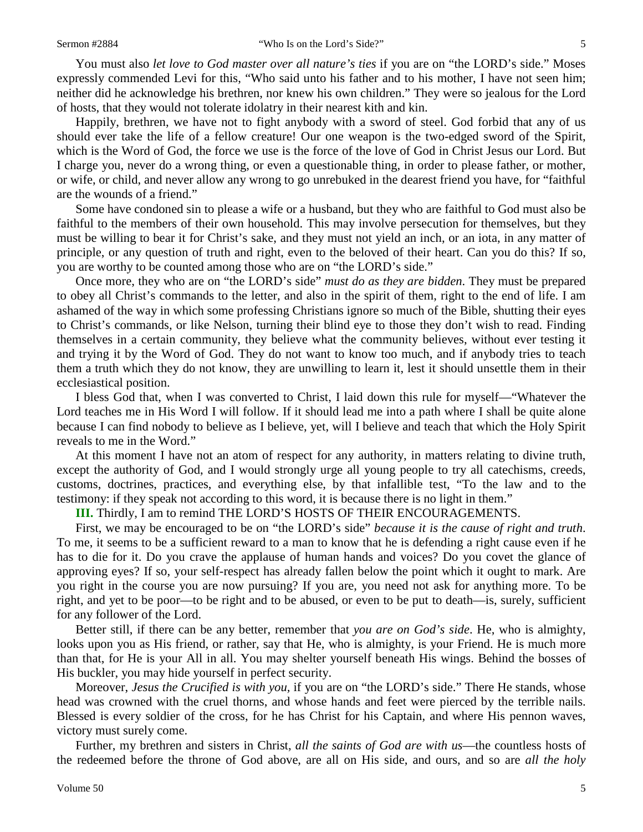You must also *let love to God master over all nature's ties* if you are on "the LORD's side." Moses expressly commended Levi for this, "Who said unto his father and to his mother, I have not seen him; neither did he acknowledge his brethren, nor knew his own children." They were so jealous for the Lord of hosts, that they would not tolerate idolatry in their nearest kith and kin.

Happily, brethren, we have not to fight anybody with a sword of steel. God forbid that any of us should ever take the life of a fellow creature! Our one weapon is the two-edged sword of the Spirit, which is the Word of God, the force we use is the force of the love of God in Christ Jesus our Lord. But I charge you, never do a wrong thing, or even a questionable thing, in order to please father, or mother, or wife, or child, and never allow any wrong to go unrebuked in the dearest friend you have, for "faithful are the wounds of a friend."

Some have condoned sin to please a wife or a husband, but they who are faithful to God must also be faithful to the members of their own household. This may involve persecution for themselves, but they must be willing to bear it for Christ's sake, and they must not yield an inch, or an iota, in any matter of principle, or any question of truth and right, even to the beloved of their heart. Can you do this? If so, you are worthy to be counted among those who are on "the LORD's side."

Once more, they who are on "the LORD's side" *must do as they are bidden*. They must be prepared to obey all Christ's commands to the letter, and also in the spirit of them, right to the end of life. I am ashamed of the way in which some professing Christians ignore so much of the Bible, shutting their eyes to Christ's commands, or like Nelson, turning their blind eye to those they don't wish to read. Finding themselves in a certain community, they believe what the community believes, without ever testing it and trying it by the Word of God. They do not want to know too much, and if anybody tries to teach them a truth which they do not know, they are unwilling to learn it, lest it should unsettle them in their ecclesiastical position.

I bless God that, when I was converted to Christ, I laid down this rule for myself—"Whatever the Lord teaches me in His Word I will follow. If it should lead me into a path where I shall be quite alone because I can find nobody to believe as I believe, yet, will I believe and teach that which the Holy Spirit reveals to me in the Word."

At this moment I have not an atom of respect for any authority, in matters relating to divine truth, except the authority of God, and I would strongly urge all young people to try all catechisms, creeds, customs, doctrines, practices, and everything else, by that infallible test, "To the law and to the testimony: if they speak not according to this word, it is because there is no light in them."

**III.** Thirdly, I am to remind THE LORD'S HOSTS OF THEIR ENCOURAGEMENTS.

First, we may be encouraged to be on "the LORD's side" *because it is the cause of right and truth*. To me, it seems to be a sufficient reward to a man to know that he is defending a right cause even if he has to die for it. Do you crave the applause of human hands and voices? Do you covet the glance of approving eyes? If so, your self-respect has already fallen below the point which it ought to mark. Are you right in the course you are now pursuing? If you are, you need not ask for anything more. To be right, and yet to be poor—to be right and to be abused, or even to be put to death—is, surely, sufficient for any follower of the Lord.

Better still, if there can be any better, remember that *you are on God's side*. He, who is almighty, looks upon you as His friend, or rather, say that He, who is almighty, is your Friend. He is much more than that, for He is your All in all. You may shelter yourself beneath His wings. Behind the bosses of His buckler, you may hide yourself in perfect security.

Moreover, *Jesus the Crucified is with you,* if you are on "the LORD's side." There He stands, whose head was crowned with the cruel thorns, and whose hands and feet were pierced by the terrible nails. Blessed is every soldier of the cross, for he has Christ for his Captain, and where His pennon waves, victory must surely come.

Further, my brethren and sisters in Christ, *all the saints of God are with us*—the countless hosts of the redeemed before the throne of God above, are all on His side, and ours, and so are *all the holy*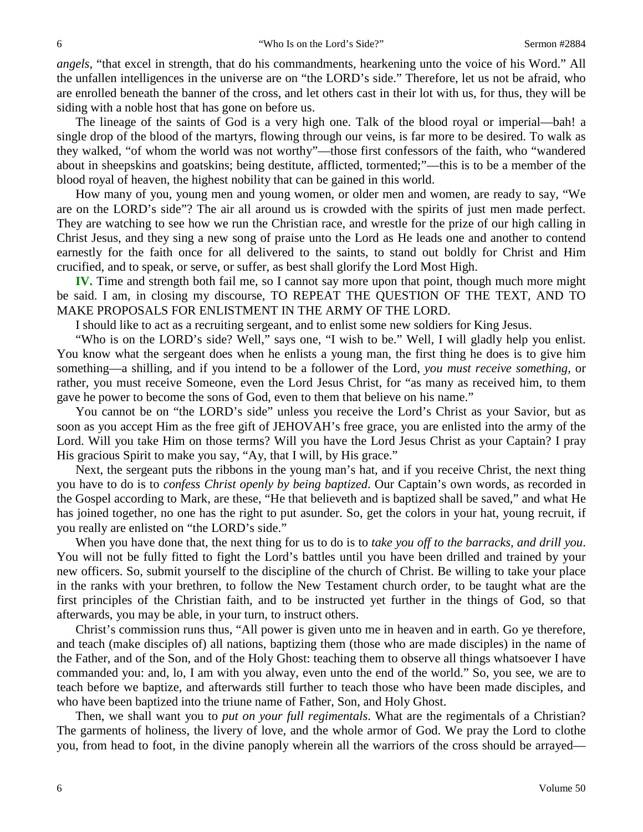*angels,* "that excel in strength, that do his commandments, hearkening unto the voice of his Word." All the unfallen intelligences in the universe are on "the LORD's side." Therefore, let us not be afraid, who are enrolled beneath the banner of the cross, and let others cast in their lot with us, for thus, they will be siding with a noble host that has gone on before us.

The lineage of the saints of God is a very high one. Talk of the blood royal or imperial—bah! a single drop of the blood of the martyrs, flowing through our veins, is far more to be desired. To walk as they walked, "of whom the world was not worthy"—those first confessors of the faith, who "wandered about in sheepskins and goatskins; being destitute, afflicted, tormented;"—this is to be a member of the blood royal of heaven, the highest nobility that can be gained in this world.

How many of you, young men and young women, or older men and women, are ready to say, "We are on the LORD's side"? The air all around us is crowded with the spirits of just men made perfect. They are watching to see how we run the Christian race, and wrestle for the prize of our high calling in Christ Jesus, and they sing a new song of praise unto the Lord as He leads one and another to contend earnestly for the faith once for all delivered to the saints, to stand out boldly for Christ and Him crucified, and to speak, or serve, or suffer, as best shall glorify the Lord Most High.

**IV.** Time and strength both fail me, so I cannot say more upon that point, though much more might be said. I am, in closing my discourse, TO REPEAT THE QUESTION OF THE TEXT, AND TO MAKE PROPOSALS FOR ENLISTMENT IN THE ARMY OF THE LORD.

I should like to act as a recruiting sergeant, and to enlist some new soldiers for King Jesus.

"Who is on the LORD's side? Well," says one, "I wish to be." Well, I will gladly help you enlist. You know what the sergeant does when he enlists a young man, the first thing he does is to give him something—a shilling, and if you intend to be a follower of the Lord, *you must receive something,* or rather, you must receive Someone, even the Lord Jesus Christ, for "as many as received him, to them gave he power to become the sons of God, even to them that believe on his name."

You cannot be on "the LORD's side" unless you receive the Lord's Christ as your Savior, but as soon as you accept Him as the free gift of JEHOVAH's free grace, you are enlisted into the army of the Lord. Will you take Him on those terms? Will you have the Lord Jesus Christ as your Captain? I pray His gracious Spirit to make you say, "Ay, that I will, by His grace."

Next, the sergeant puts the ribbons in the young man's hat, and if you receive Christ, the next thing you have to do is to *confess Christ openly by being baptized*. Our Captain's own words, as recorded in the Gospel according to Mark, are these, "He that believeth and is baptized shall be saved," and what He has joined together, no one has the right to put asunder. So, get the colors in your hat, young recruit, if you really are enlisted on "the LORD's side."

When you have done that, the next thing for us to do is to *take you off to the barracks, and drill you*. You will not be fully fitted to fight the Lord's battles until you have been drilled and trained by your new officers. So, submit yourself to the discipline of the church of Christ. Be willing to take your place in the ranks with your brethren, to follow the New Testament church order, to be taught what are the first principles of the Christian faith, and to be instructed yet further in the things of God, so that afterwards, you may be able, in your turn, to instruct others.

Christ's commission runs thus, "All power is given unto me in heaven and in earth. Go ye therefore, and teach (make disciples of) all nations, baptizing them (those who are made disciples) in the name of the Father, and of the Son, and of the Holy Ghost: teaching them to observe all things whatsoever I have commanded you: and, lo, I am with you alway, even unto the end of the world." So, you see, we are to teach before we baptize, and afterwards still further to teach those who have been made disciples, and who have been baptized into the triune name of Father, Son, and Holy Ghost.

Then, we shall want you to *put on your full regimentals*. What are the regimentals of a Christian? The garments of holiness, the livery of love, and the whole armor of God. We pray the Lord to clothe you, from head to foot, in the divine panoply wherein all the warriors of the cross should be arrayed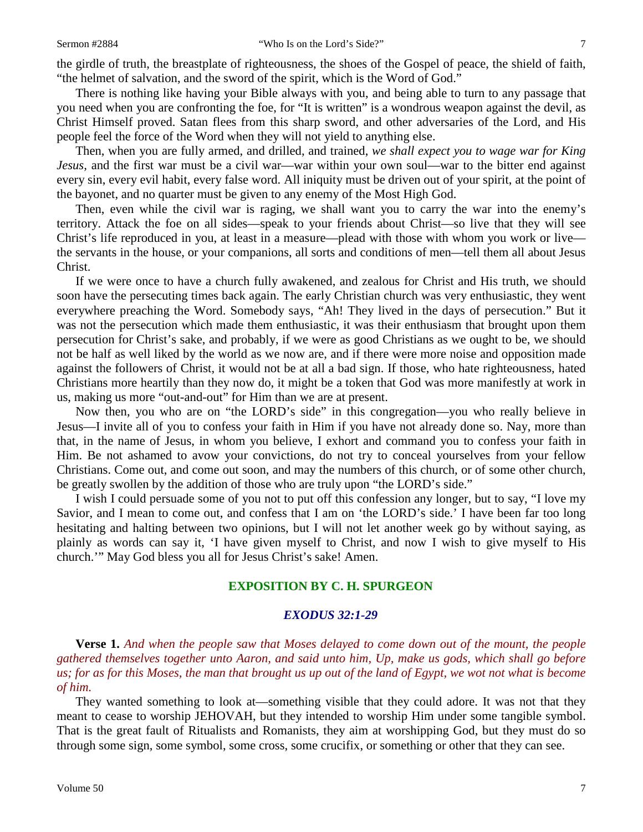the girdle of truth, the breastplate of righteousness, the shoes of the Gospel of peace, the shield of faith, "the helmet of salvation, and the sword of the spirit, which is the Word of God."

There is nothing like having your Bible always with you, and being able to turn to any passage that you need when you are confronting the foe, for "It is written" is a wondrous weapon against the devil, as Christ Himself proved. Satan flees from this sharp sword, and other adversaries of the Lord, and His people feel the force of the Word when they will not yield to anything else.

Then, when you are fully armed, and drilled, and trained, *we shall expect you to wage war for King Jesus,* and the first war must be a civil war—war within your own soul—war to the bitter end against every sin, every evil habit, every false word. All iniquity must be driven out of your spirit, at the point of the bayonet, and no quarter must be given to any enemy of the Most High God.

Then, even while the civil war is raging, we shall want you to carry the war into the enemy's territory. Attack the foe on all sides—speak to your friends about Christ—so live that they will see Christ's life reproduced in you, at least in a measure—plead with those with whom you work or live the servants in the house, or your companions, all sorts and conditions of men—tell them all about Jesus Christ.

If we were once to have a church fully awakened, and zealous for Christ and His truth, we should soon have the persecuting times back again. The early Christian church was very enthusiastic, they went everywhere preaching the Word. Somebody says, "Ah! They lived in the days of persecution." But it was not the persecution which made them enthusiastic, it was their enthusiasm that brought upon them persecution for Christ's sake, and probably, if we were as good Christians as we ought to be, we should not be half as well liked by the world as we now are, and if there were more noise and opposition made against the followers of Christ, it would not be at all a bad sign. If those, who hate righteousness, hated Christians more heartily than they now do, it might be a token that God was more manifestly at work in us, making us more "out-and-out" for Him than we are at present.

Now then, you who are on "the LORD's side" in this congregation—you who really believe in Jesus—I invite all of you to confess your faith in Him if you have not already done so. Nay, more than that, in the name of Jesus, in whom you believe, I exhort and command you to confess your faith in Him. Be not ashamed to avow your convictions, do not try to conceal yourselves from your fellow Christians. Come out, and come out soon, and may the numbers of this church, or of some other church, be greatly swollen by the addition of those who are truly upon "the LORD's side."

I wish I could persuade some of you not to put off this confession any longer, but to say, "I love my Savior, and I mean to come out, and confess that I am on 'the LORD's side.' I have been far too long hesitating and halting between two opinions, but I will not let another week go by without saying, as plainly as words can say it, 'I have given myself to Christ, and now I wish to give myself to His church.'" May God bless you all for Jesus Christ's sake! Amen.

### **EXPOSITION BY C. H. SPURGEON**

### *EXODUS 32:1-29*

**Verse 1.** *And when the people saw that Moses delayed to come down out of the mount, the people gathered themselves together unto Aaron, and said unto him, Up, make us gods, which shall go before us; for as for this Moses, the man that brought us up out of the land of Egypt, we wot not what is become of him.*

They wanted something to look at—something visible that they could adore. It was not that they meant to cease to worship JEHOVAH, but they intended to worship Him under some tangible symbol. That is the great fault of Ritualists and Romanists, they aim at worshipping God, but they must do so through some sign, some symbol, some cross, some crucifix, or something or other that they can see.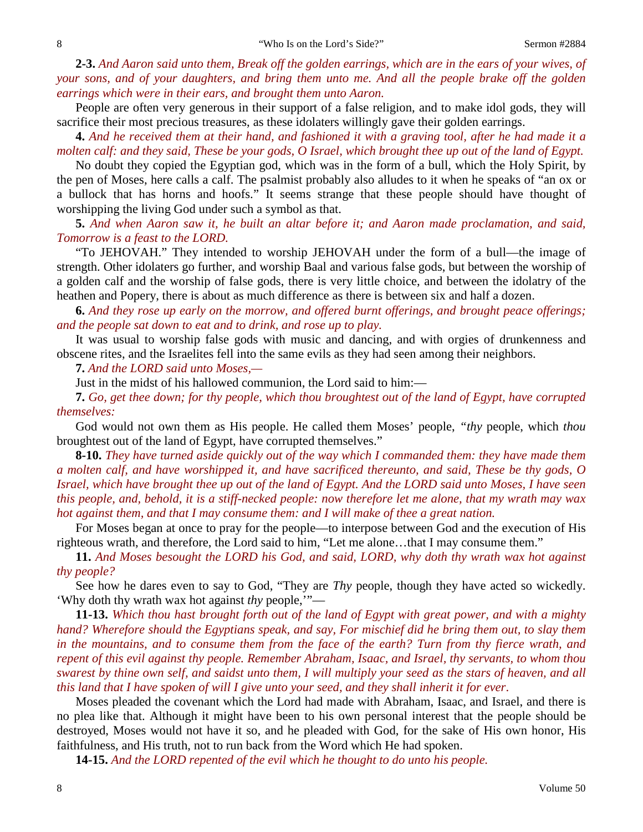**2-3.** *And Aaron said unto them, Break off the golden earrings, which are in the ears of your wives, of your sons, and of your daughters, and bring them unto me. And all the people brake off the golden earrings which were in their ears, and brought them unto Aaron.*

People are often very generous in their support of a false religion, and to make idol gods, they will sacrifice their most precious treasures, as these idolaters willingly gave their golden earrings.

**4.** *And he received them at their hand, and fashioned it with a graving tool, after he had made it a molten calf: and they said, These be your gods, O Israel, which brought thee up out of the land of Egypt.*

No doubt they copied the Egyptian god, which was in the form of a bull, which the Holy Spirit, by the pen of Moses, here calls a calf. The psalmist probably also alludes to it when he speaks of "an ox or a bullock that has horns and hoofs." It seems strange that these people should have thought of worshipping the living God under such a symbol as that.

**5.** *And when Aaron saw it, he built an altar before it; and Aaron made proclamation, and said, Tomorrow is a feast to the LORD.*

"To JEHOVAH." They intended to worship JEHOVAH under the form of a bull—the image of strength. Other idolaters go further, and worship Baal and various false gods, but between the worship of a golden calf and the worship of false gods, there is very little choice, and between the idolatry of the heathen and Popery, there is about as much difference as there is between six and half a dozen.

**6.** *And they rose up early on the morrow, and offered burnt offerings, and brought peace offerings; and the people sat down to eat and to drink, and rose up to play.*

It was usual to worship false gods with music and dancing, and with orgies of drunkenness and obscene rites, and the Israelites fell into the same evils as they had seen among their neighbors.

**7.** *And the LORD said unto Moses,—*

Just in the midst of his hallowed communion, the Lord said to him:—

**7.** *Go, get thee down; for thy people, which thou broughtest out of the land of Egypt, have corrupted themselves:*

God would not own them as His people. He called them Moses' people, *"thy* people, which *thou* broughtest out of the land of Egypt, have corrupted themselves."

**8-10.** *They have turned aside quickly out of the way which I commanded them: they have made them a molten calf, and have worshipped it, and have sacrificed thereunto, and said, These be thy gods, O Israel, which have brought thee up out of the land of Egypt. And the LORD said unto Moses, I have seen this people, and, behold, it is a stiff-necked people: now therefore let me alone, that my wrath may wax hot against them, and that I may consume them: and I will make of thee a great nation.*

For Moses began at once to pray for the people—to interpose between God and the execution of His righteous wrath, and therefore, the Lord said to him, "Let me alone…that I may consume them."

**11.** *And Moses besought the LORD his God, and said, LORD, why doth thy wrath wax hot against thy people?*

See how he dares even to say to God, "They are *Thy* people, though they have acted so wickedly. 'Why doth thy wrath wax hot against *thy* people,'"—

**11-13.** *Which thou hast brought forth out of the land of Egypt with great power, and with a mighty hand? Wherefore should the Egyptians speak, and say, For mischief did he bring them out, to slay them in the mountains, and to consume them from the face of the earth? Turn from thy fierce wrath, and repent of this evil against thy people. Remember Abraham, Isaac, and Israel, thy servants, to whom thou swarest by thine own self, and saidst unto them, I will multiply your seed as the stars of heaven, and all this land that I have spoken of will I give unto your seed, and they shall inherit it for ever*.

Moses pleaded the covenant which the Lord had made with Abraham, Isaac, and Israel, and there is no plea like that. Although it might have been to his own personal interest that the people should be destroyed, Moses would not have it so, and he pleaded with God, for the sake of His own honor, His faithfulness, and His truth, not to run back from the Word which He had spoken.

**14-15.** *And the LORD repented of the evil which he thought to do unto his people.*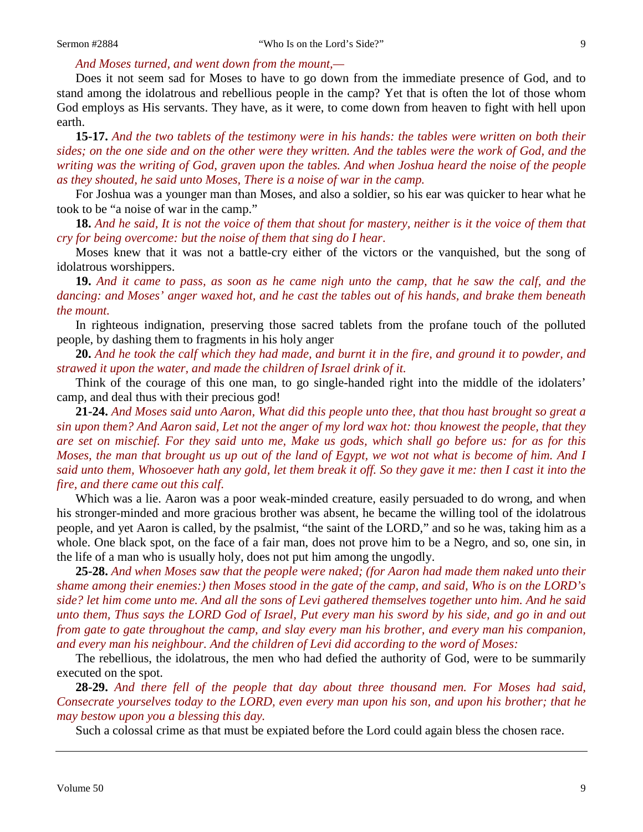#### *And Moses turned, and went down from the mount,—*

Does it not seem sad for Moses to have to go down from the immediate presence of God, and to stand among the idolatrous and rebellious people in the camp? Yet that is often the lot of those whom God employs as His servants. They have, as it were, to come down from heaven to fight with hell upon earth.

**15-17.** *And the two tablets of the testimony were in his hands: the tables were written on both their sides; on the one side and on the other were they written. And the tables were the work of God, and the writing was the writing of God, graven upon the tables. And when Joshua heard the noise of the people as they shouted, he said unto Moses, There is a noise of war in the camp.*

For Joshua was a younger man than Moses, and also a soldier, so his ear was quicker to hear what he took to be "a noise of war in the camp."

**18.** *And he said, It is not the voice of them that shout for mastery, neither is it the voice of them that cry for being overcome: but the noise of them that sing do I hear*.

Moses knew that it was not a battle-cry either of the victors or the vanquished, but the song of idolatrous worshippers.

**19.** *And it came to pass, as soon as he came nigh unto the camp, that he saw the calf, and the dancing: and Moses' anger waxed hot, and he cast the tables out of his hands, and brake them beneath the mount.*

In righteous indignation, preserving those sacred tablets from the profane touch of the polluted people, by dashing them to fragments in his holy anger

**20.** *And he took the calf which they had made, and burnt it in the fire, and ground it to powder, and strawed it upon the water, and made the children of Israel drink of it.*

Think of the courage of this one man, to go single-handed right into the middle of the idolaters' camp, and deal thus with their precious god!

**21-24.** *And Moses said unto Aaron, What did this people unto thee, that thou hast brought so great a sin upon them? And Aaron said, Let not the anger of my lord wax hot: thou knowest the people, that they are set on mischief. For they said unto me, Make us gods, which shall go before us: for as for this Moses, the man that brought us up out of the land of Egypt, we wot not what is become of him. And I said unto them, Whosoever hath any gold, let them break it off. So they gave it me: then I cast it into the fire, and there came out this calf*.

Which was a lie. Aaron was a poor weak-minded creature, easily persuaded to do wrong, and when his stronger-minded and more gracious brother was absent, he became the willing tool of the idolatrous people, and yet Aaron is called, by the psalmist, "the saint of the LORD," and so he was, taking him as a whole. One black spot, on the face of a fair man, does not prove him to be a Negro, and so, one sin, in the life of a man who is usually holy, does not put him among the ungodly.

**25-28.** *And when Moses saw that the people were naked; (for Aaron had made them naked unto their shame among their enemies:) then Moses stood in the gate of the camp, and said, Who is on the LORD's side? let him come unto me. And all the sons of Levi gathered themselves together unto him. And he said unto them, Thus says the LORD God of Israel, Put every man his sword by his side, and go in and out from gate to gate throughout the camp, and slay every man his brother, and every man his companion, and every man his neighbour. And the children of Levi did according to the word of Moses:*

The rebellious, the idolatrous, the men who had defied the authority of God, were to be summarily executed on the spot.

**28-29.** *And there fell of the people that day about three thousand men. For Moses had said, Consecrate yourselves today to the LORD, even every man upon his son, and upon his brother; that he may bestow upon you a blessing this day.*

Such a colossal crime as that must be expiated before the Lord could again bless the chosen race.